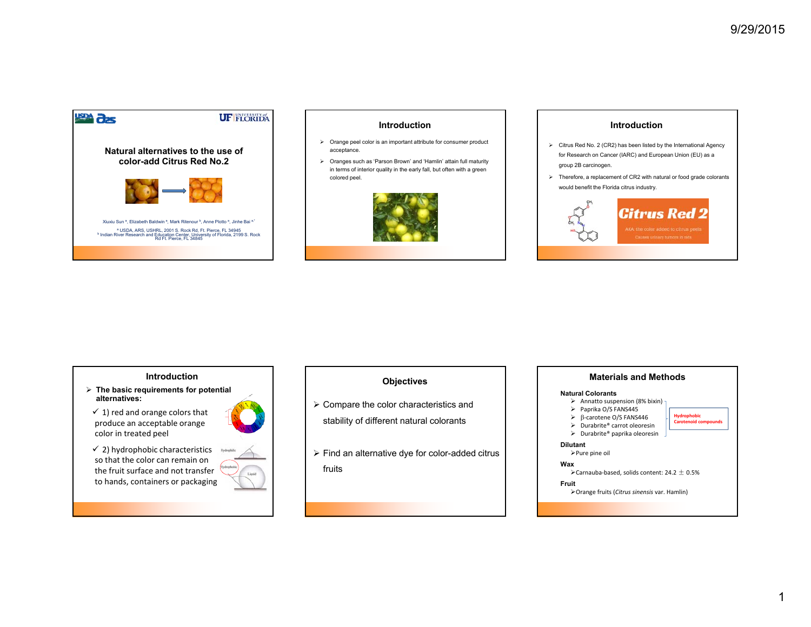

# **Introduction**

- $\triangleright$  Orange peel color is an important attribute for consumer product acceptance.
- Oranges such as 'Parson Brown' and 'Hamlin' attain full maturity in terms of interior quality in the early fall, but often with a green colored peel.



# **Introduction**

- $\triangleright$  Citrus Red No. 2 (CR2) has been listed by the International Agency for Research on Cancer (IARC) and European Union (EU) as a group 2B carcinogen.
- $\triangleright$  Therefore, a replacement of CR2 with natural or food grade colorants would benefit the Florida citrus industry.



#### **Introduction**

- **The basic requirements for potential alternatives:**
- $\checkmark$  1) red and orange colors that produce an acceptable orange color in treated peel



 $\checkmark$  2) hydrophobic characteristics so that the color can remain on the fruit surface and not transfer to hands, containers or packaging

# **Objectives**

- $\triangleright$  Compare the color characteristics and stability of different natural colorants
- $\triangleright$  Find an alternative dye for color-added citrus fruits

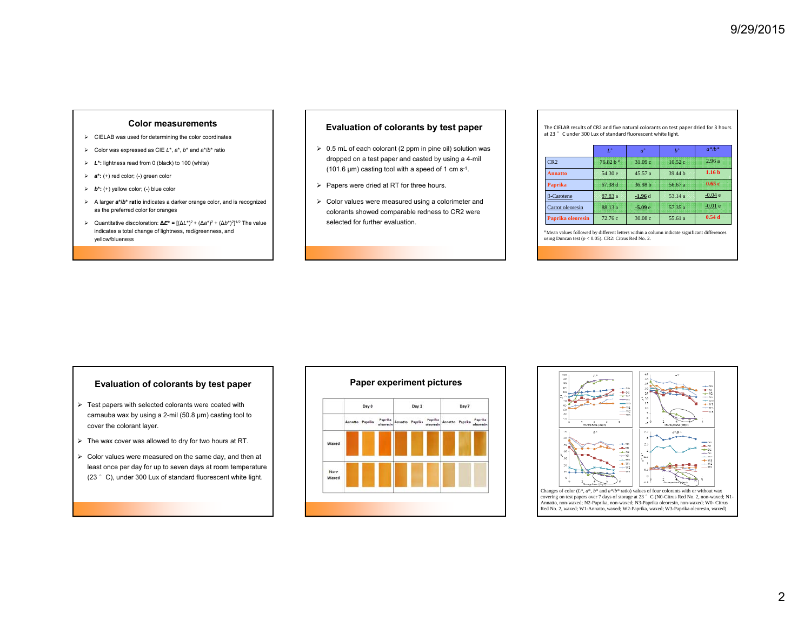## **Color measurements**

- CIELAB was used for determining the color coordinates
- Color was expressed as CIE *L*\*, *a*\*, *b*\* and *a*\*/*b*\* ratio
- *L***\*:** lightness read from 0 (black) to 100 (white)
- *<sup>a</sup>***\*:** (+) red color; (-) green color
- *b***\*:** (+) yellow color; (-) blue color
- A larger *a***\*/***b***\* ratio** indicates a darker orange color, and is recognized as the preferred color for oranges
- Quantitative discoloration: **∆***E***\*** = [(∆*L*\*)2 + (∆*a*\*)2 + (∆*b*\*)2]1/2 The value indicates a total change of lightness, red/greenness, and yellow/blueness

### **Evaluation of colorants by test paper**

- $\geq 0.5$  mL of each colorant (2 ppm in pine oil) solution was dropped on a test paper and casted by using a 4-mil (101.6  $\mu$ m) casting tool with a speed of 1 cm s<sup>-1</sup>.
- $\triangleright$  Papers were dried at RT for three hours.
- Color values were measured using a colorimeter and colorants showed comparable redness to CR2 were selected for further evaluation.

#### The CIELAB results of CR2 and five natural colorants on test paper dried for 3 hours at 23 °C under 300 Lux of standard fluorescent white light.

|                   | $L^*$       | $a^*$              | $h^*$   | $a^*/b^*$         |
|-------------------|-------------|--------------------|---------|-------------------|
| CR <sub>2</sub>   | $76.82 h$ # | 31.09 <sub>c</sub> | 10.52c  | 2.96a             |
| <b>Annatto</b>    | 54.30 e     | 45.57a             | 39.44 h | 1.16 <sub>b</sub> |
| Paprika           | 67.38 d     | 36.98 h            | 56.67 a | 0.65c             |
| $\beta$ -Carotene | 87.83 a     | $-1.96d$           | 53.14 a | $-0.04e$          |
| Carrot oleoresin  | 88.13 a     | $-5.09e$           | 57.35 a | $-0.01e$          |
| Paprika oleoresin | 72.76c      | 30.08c             | 55.61 a | 0.54d             |

# Mean values followed by different letters within a column indicate significant differences using Duncan test  $(p < 0.05)$ . CR2: Citrus Red No. 2.

- $\triangleright$  Test papers with selected colorants were coated with carnauba wax by using a 2-mil (50.8 µm) casting tool to cover the colorant layer.
- $\triangleright$  The wax cover was allowed to dry for two hours at RT.
- $\triangleright$  Color values were measured on the same day, and then at least once per day for up to seven days at room temperature (23 °C), under 300 Lux of standard fluorescent white light.



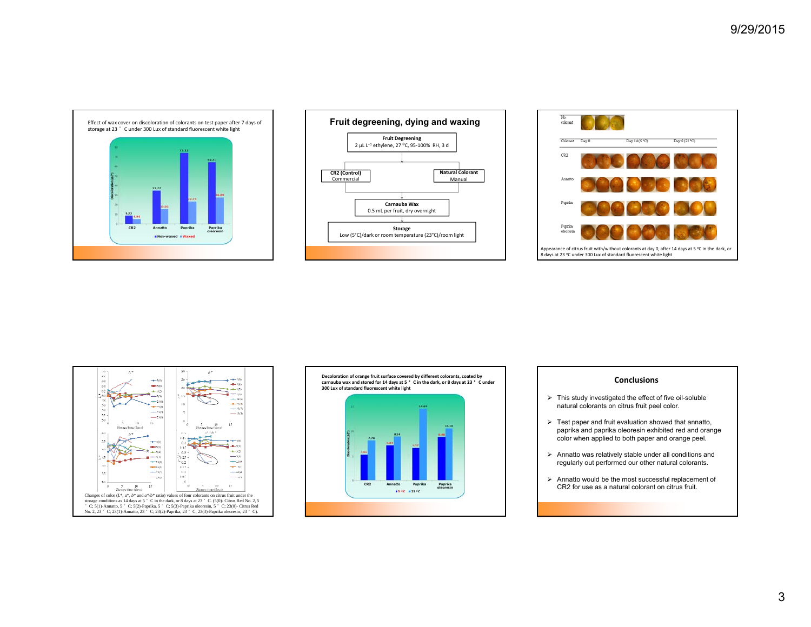









#### **Conclusions**

- $\triangleright$  This study investigated the effect of five oil-soluble natural colorants on citrus fruit peel color.
- $\triangleright$  Test paper and fruit evaluation showed that annatto, paprika and paprika oleoresin exhibited red and orange color when applied to both paper and orange peel.
- $\triangleright$  Annatto was relatively stable under all conditions and regularly out performed our other natural colorants.
- $\triangleright$  Annatto would be the most successful replacement of CR2 for use as a natural colorant on citrus fruit.